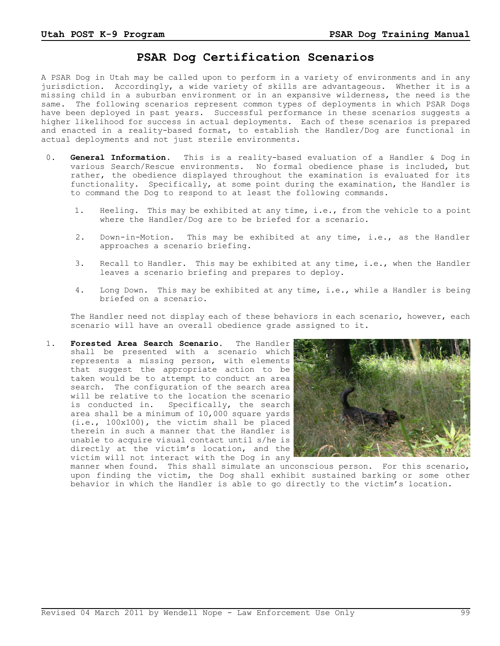## **PSAR Dog Certification Scenarios**

A PSAR Dog in Utah may be called upon to perform in a variety of environments and in any jurisdiction. Accordingly, a wide variety of skills are advantageous. Whether it is a missing child in a suburban environment or in an expansive wilderness, the need is the same. The following scenarios represent common types of deployments in which PSAR Dogs have been deployed in past years. Successful performance in these scenarios suggests a higher likelihood for success in actual deployments. Each of these scenarios is prepared and enacted in a reality-based format, to establish the Handler/Dog are functional in actual deployments and not just sterile environments.

- 0. **General Information.** This is a reality-based evaluation of a Handler & Dog in various Search/Rescue environments. No formal obedience phase is included, but rather, the obedience displayed throughout the examination is evaluated for its functionality. Specifically, at some point during the examination, the Handler is to command the Dog to respond to at least the following commands.
	- 1. Heeling. This may be exhibited at any time, i.e., from the vehicle to a point where the Handler/Dog are to be briefed for a scenario.
	- 2. Down-in-Motion. This may be exhibited at any time, i.e., as the Handler approaches a scenario briefing.
	- 3. Recall to Handler. This may be exhibited at any time, i.e., when the Handler leaves a scenario briefing and prepares to deploy.
	- 4. Long Down. This may be exhibited at any time, i.e., while a Handler is being briefed on a scenario.

The Handler need not display each of these behaviors in each scenario, however, each scenario will have an overall obedience grade assigned to it.

 1. **Forested Area Search Scenario.** The Handler shall be presented with a scenario which represents a missing person, with elements that suggest the appropriate action to be taken would be to attempt to conduct an area search. The configuration of the search area will be relative to the location the scenario is conducted in. Specifically, the search area shall be a minimum of 10,000 square yards (i.e., 100x100), the victim shall be placed therein in such a manner that the Handler is unable to acquire visual contact until s/he is directly at the victim's location, and the victim will not interact with the Dog in any



manner when found. This shall simulate an unconscious person. For this scenario, upon finding the victim, the Dog shall exhibit sustained barking or some other behavior in which the Handler is able to go directly to the victim's location.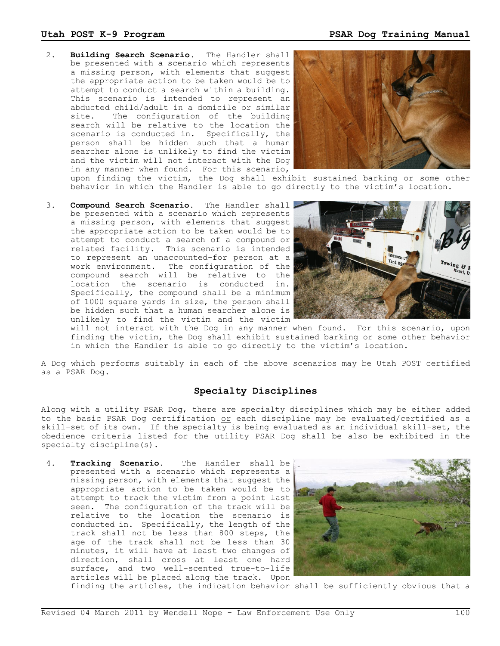2. **Building Search Scenario.** The Handler shall be presented with a scenario which represents a missing person, with elements that suggest the appropriate action to be taken would be to attempt to conduct a search within a building. This scenario is intended to represent an abducted child/adult in a domicile or similar site. The configuration of the building search will be relative to the location the scenario is conducted in. Specifically, the person shall be hidden such that a human searcher alone is unlikely to find the victim and the victim will not interact with the Dog in any manner when found. For this scenario,



upon finding the victim, the Dog shall exhibit sustained barking or some other behavior in which the Handler is able to go directly to the victim's location.

 3. **Compound Search Scenario.** The Handler shall be presented with a scenario which represents a missing person, with elements that suggest the appropriate action to be taken would be to attempt to conduct a search of a compound or related facility. This scenario is intended to represent an unaccounted-for person at a work environment. The configuration of the compound search will be relative to the location the scenario is conducted in. Specifically, the compound shall be a minimum of 1000 square yards in size, the person shall be hidden such that a human searcher alone is unlikely to find the victim and the victim



will not interact with the Dog in any manner when found. For this scenario, upon finding the victim, the Dog shall exhibit sustained barking or some other behavior in which the Handler is able to go directly to the victim's location.

A Dog which performs suitably in each of the above scenarios may be Utah POST certified as a PSAR Dog.

## **Specialty Disciplines**

Along with a utility PSAR Dog, there are specialty disciplines which may be either added to the basic PSAR Dog certification or each discipline may be evaluated/certified as a skill-set of its own. If the specialty is being evaluated as an individual skill-set, the obedience criteria listed for the utility PSAR Dog shall be also be exhibited in the specialty discipline(s).

 4. **Tracking Scenario.** The Handler shall be presented with a scenario which represents a missing person, with elements that suggest the appropriate action to be taken would be to attempt to track the victim from a point last seen. The configuration of the track will be relative to the location the scenario is conducted in. Specifically, the length of the track shall not be less than 800 steps, the age of the track shall not be less than 30 minutes, it will have at least two changes of direction, shall cross at least one hard surface, and two well-scented true-to-life articles will be placed along the track. Upon



finding the articles, the indication behavior shall be sufficiently obvious that a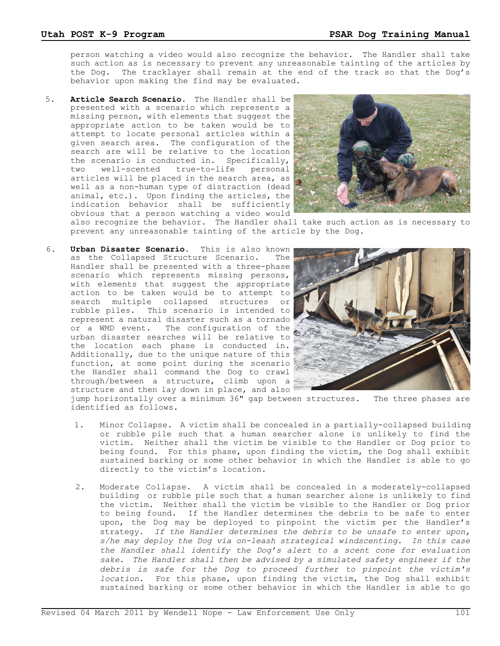person watching a video would also recognize the behavior. The Handler shall take such action as is necessary to prevent any unreasonable tainting of the articles by the Dog. The tracklayer shall remain at the end of the track so that the Dog's behavior upon making the find may be evaluated.

 5. **Article Search Scenario.** The Handler shall be presented with a scenario which represents a missing person, with elements that suggest the appropriate action to be taken would be to attempt to locate personal articles within a given search area. The configuration of the search are will be relative to the location the scenario is conducted in. Specifically, two well-scented true-to-life personal articles will be placed in the search area, as well as a non-human type of distraction (dead animal, etc.). Upon finding the articles, the indication behavior shall be sufficiently obvious that a person watching a video would



also recognize the behavior. The Handler shall take such action as is necessary to prevent any unreasonable tainting of the article by the Dog.

 6. **Urban Disaster Scenario.** This is also known as the Collapsed Structure Scenario. The Handler shall be presented with a three-phase scenario which represents missing persons, with elements that suggest the appropriate action to be taken would be to attempt to search multiple collapsed structures or rubble piles. This scenario is intended to represent a natural disaster such as a tornado or a WMD event. The configuration of the urban disaster searches will be relative to the location each phase is conducted in. Additionally, due to the unique nature of this function, at some point during the scenario the Handler shall command the Dog to crawl through/between a structure, climb upon a structure and then lay down in place, and also



jump horizontally over a minimum 36" gap between structures. The three phases are identified as follows.

- 1. Minor Collapse. A victim shall be concealed in a partially-collapsed building or rubble pile such that a human searcher alone is unlikely to find the victim. Neither shall the victim be visible to the Handler or Dog prior to being found. For this phase, upon finding the victim, the Dog shall exhibit sustained barking or some other behavior in which the Handler is able to go directly to the victim's location.
- 2. Moderate Collapse. A victim shall be concealed in a moderately-collapsed building or rubble pile such that a human searcher alone is unlikely to find the victim. Neither shall the victim be visible to the Handler or Dog prior to being found. If the Handler determines the debris to be safe to enter upon, the Dog may be deployed to pinpoint the victim per the Handler's strategy. *If the Handler determines the debris to be unsafe to enter upon, s/he may deploy the Dog via on-leash strategical windscenting. In this case the Handler shall identify the Dog's alert to a scent cone for evaluation sake. The Handler shall then be advised by a simulated safety engineer if the debris is safe for the Dog to proceed further to pinpoint the victim's location.* For this phase, upon finding the victim, the Dog shall exhibit sustained barking or some other behavior in which the Handler is able to go